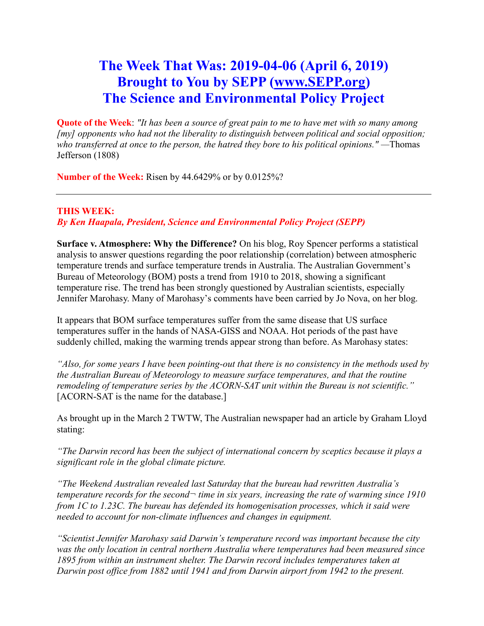# **The Week That Was: 2019-04-06 (April 6, 2019) Brought to You by SEPP [\(www.SEPP.org\)](http://www.sepp.org/) The Science and Environmental Policy Project**

**Quote of the Week**: *"It has been a source of great pain to me to have met with so many among [my] opponents who had not the liberality to distinguish between political and social opposition; who transferred at once to the person, the hatred they bore to his political opinions." —*Thomas Jefferson (1808)

**Number of the Week:** Risen by 44.6429% or by 0.0125%?

## **THIS WEEK:**

## *By Ken Haapala, President, Science and Environmental Policy Project (SEPP)*

**Surface v. Atmosphere: Why the Difference?** On his blog, Roy Spencer performs a statistical analysis to answer questions regarding the poor relationship (correlation) between atmospheric temperature trends and surface temperature trends in Australia. The Australian Government's Bureau of Meteorology (BOM) posts a trend from 1910 to 2018, showing a significant temperature rise. The trend has been strongly questioned by Australian scientists, especially Jennifer Marohasy. Many of Marohasy's comments have been carried by Jo Nova, on her blog.

It appears that BOM surface temperatures suffer from the same disease that US surface temperatures suffer in the hands of NASA-GISS and NOAA. Hot periods of the past have suddenly chilled, making the warming trends appear strong than before. As Marohasy states:

*"Also, for some years I have been pointing-out that there is no consistency in the methods used by the Australian Bureau of Meteorology to measure surface temperatures, and that the routine remodeling of temperature series by the ACORN-SAT unit within the Bureau is not scientific."* [ACORN-SAT is the name for the database.]

As brought up in the March 2 TWTW, The Australian newspaper had an article by Graham Lloyd stating:

*"The Darwin record has been the subject of international concern by sceptics because it plays a significant role in the global climate picture.*

*"The Weekend Australian revealed last Saturday that the bureau had rewritten Australia's temperature records for the second¬ time in six years, increasing the rate of warming since 1910 from 1C to 1.23C. The bureau has defended its homogenisation processes, which it said were needed to account for non-climate influences and changes in equipment.*

*"Scientist Jennifer Marohasy said Darwin's temperature record was important because the city was the only location in central northern Australia where temperatures had been measured since 1895 from within an instrument shelter. The Darwin record includes temperatures taken at Darwin post office from 1882 until 1941 and from Darwin airport from 1942 to the present.*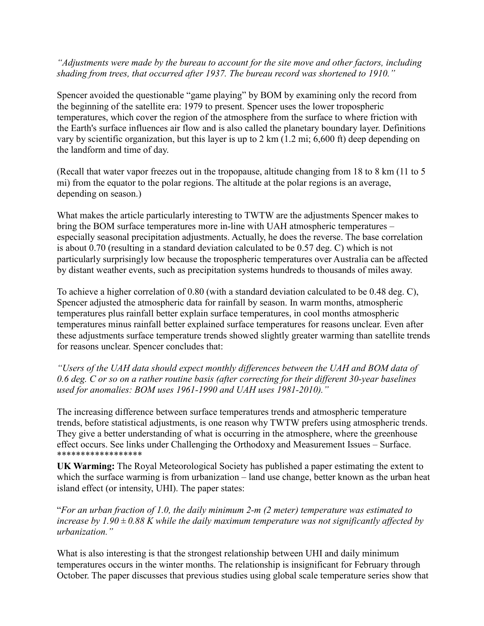*"Adjustments were made by the bureau to account for the site move and other factors, including shading from trees, that occurred after 1937. The bureau record was shortened to 1910."*

Spencer avoided the questionable "game playing" by BOM by examining only the record from the beginning of the satellite era: 1979 to present. Spencer uses the lower tropospheric temperatures, which cover the region of the atmosphere from the surface to where friction with the Earth's surface influences air flow and is also called the planetary boundary layer. Definitions vary by scientific organization, but this layer is up to 2 km (1.2 mi; 6,600 ft) deep depending on the landform and time of day.

(Recall that water vapor freezes out in the tropopause, altitude changing from 18 to 8 km (11 to 5 mi) from the equator to the polar regions. The altitude at the polar regions is an average, depending on season.)

What makes the article particularly interesting to TWTW are the adjustments Spencer makes to bring the BOM surface temperatures more in-line with UAH atmospheric temperatures – especially seasonal precipitation adjustments. Actually, he does the reverse. The base correlation is about 0.70 (resulting in a standard deviation calculated to be 0.57 deg. C) which is not particularly surprisingly low because the tropospheric temperatures over Australia can be affected by distant weather events, such as precipitation systems hundreds to thousands of miles away.

To achieve a higher correlation of 0.80 (with a standard deviation calculated to be 0.48 deg. C), Spencer adjusted the atmospheric data for rainfall by season. In warm months, atmospheric temperatures plus rainfall better explain surface temperatures, in cool months atmospheric temperatures minus rainfall better explained surface temperatures for reasons unclear. Even after these adjustments surface temperature trends showed slightly greater warming than satellite trends for reasons unclear. Spencer concludes that:

*"Users of the UAH data should expect monthly differences between the UAH and BOM data of 0.6 deg. C or so on a rather routine basis (after correcting for their different 30-year baselines used for anomalies: BOM uses 1961-1990 and UAH uses 1981-2010)."*

The increasing difference between surface temperatures trends and atmospheric temperature trends, before statistical adjustments, is one reason why TWTW prefers using atmospheric trends. They give a better understanding of what is occurring in the atmosphere, where the greenhouse effect occurs. See links under Challenging the Orthodoxy and Measurement Issues – Surface. \*\*\*\*\*\*\*\*\*\*\*\*\*\*\*\*\*\*

**UK Warming:** The Royal Meteorological Society has published a paper estimating the extent to which the surface warming is from urbanization – land use change, better known as the urban heat island effect (or intensity, UHI). The paper states:

"*For an urban fraction of 1.0, the daily minimum 2‐m (2 meter) temperature was estimated to increase by 1.90 ± 0.88 K while the daily maximum temperature was not significantly affected by urbanization."*

What is also interesting is that the strongest relationship between UHI and daily minimum temperatures occurs in the winter months. The relationship is insignificant for February through October. The paper discusses that previous studies using global scale temperature series show that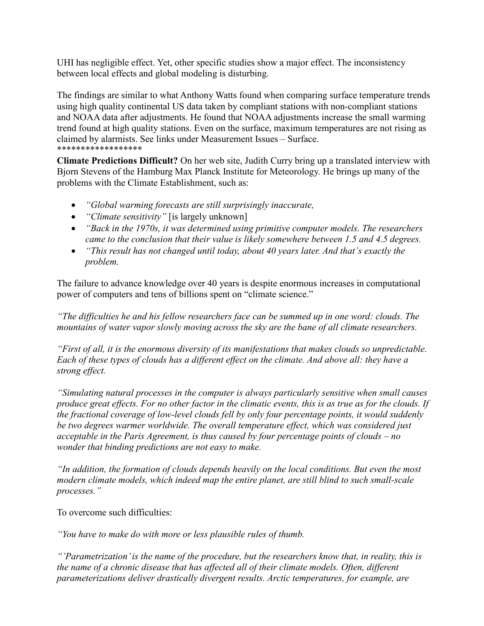UHI has negligible effect. Yet, other specific studies show a major effect. The inconsistency between local effects and global modeling is disturbing.

The findings are similar to what Anthony Watts found when comparing surface temperature trends using high quality continental US data taken by compliant stations with non-compliant stations and NOAA data after adjustments. He found that NOAA adjustments increase the small warming trend found at high quality stations. Even on the surface, maximum temperatures are not rising as claimed by alarmists. See links under Measurement Issues – Surface. \*\*\*\*\*\*\*\*\*\*\*\*\*\*\*\*\*\*

**Climate Predictions Difficult?** On her web site, Judith Curry bring up a translated interview with Bjorn Stevens of the Hamburg Max Planck Institute for Meteorology. He brings up many of the problems with the Climate Establishment, such as:

- *"Global warming forecasts are still surprisingly inaccurate,*
- *"Climate sensitivity"* [is largely unknown]
- *"Back in the 1970s, it was determined using primitive computer models. The researchers came to the conclusion that their value is likely somewhere between 1.5 and 4.5 degrees.*
- *"This result has not changed until today, about 40 years later. And that's exactly the problem.*

The failure to advance knowledge over 40 years is despite enormous increases in computational power of computers and tens of billions spent on "climate science."

*"The difficulties he and his fellow researchers face can be summed up in one word: clouds. The mountains of water vapor slowly moving across the sky are the bane of all climate researchers.*

*"First of all, it is the enormous diversity of its manifestations that makes clouds so unpredictable. Each of these types of clouds has a different effect on the climate. And above all: they have a strong effect.*

*"Simulating natural processes in the computer is always particularly sensitive when small causes produce great effects. For no other factor in the climatic events, this is as true as for the clouds. If the fractional coverage of low-level clouds fell by only four percentage points, it would suddenly be two degrees warmer worldwide. The overall temperature effect, which was considered just acceptable in the Paris Agreement, is thus caused by four percentage points of clouds – no wonder that binding predictions are not easy to make.*

*"In addition, the formation of clouds depends heavily on the local conditions. But even the most modern climate models, which indeed map the entire planet, are still blind to such small-scale processes."*

To overcome such difficulties:

*"You have to make do with more or less plausible rules of thumb.*

*"'Parametrization'is the name of the procedure, but the researchers know that, in reality, this is the name of a chronic disease that has affected all of their climate models. Often, different parameterizations deliver drastically divergent results. Arctic temperatures, for example, are*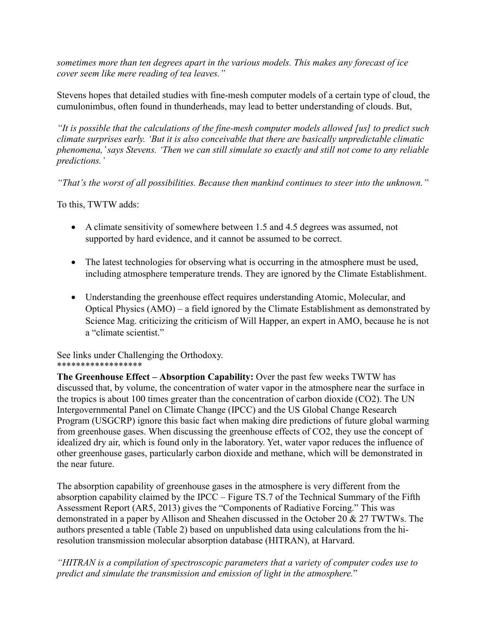*sometimes more than ten degrees apart in the various models. This makes any forecast of ice cover seem like mere reading of tea leaves."*

Stevens hopes that detailed studies with fine-mesh computer models of a certain type of cloud, the cumulonimbus, often found in thunderheads, may lead to better understanding of clouds. But,

*"It is possible that the calculations of the fine-mesh computer models allowed [us] to predict such climate surprises early. 'But it is also conceivable that there are basically unpredictable climatic phenomena,'says Stevens. 'Then we can still simulate so exactly and still not come to any reliable predictions.'*

*"That's the worst of all possibilities. Because then mankind continues to steer into the unknown."*

To this, TWTW adds:

- A climate sensitivity of somewhere between 1.5 and 4.5 degrees was assumed, not supported by hard evidence, and it cannot be assumed to be correct.
- The latest technologies for observing what is occurring in the atmosphere must be used, including atmosphere temperature trends. They are ignored by the Climate Establishment.
- Understanding the greenhouse effect requires understanding Atomic, Molecular, and Optical Physics (AMO) – a field ignored by the Climate Establishment as demonstrated by Science Mag. criticizing the criticism of Will Happer, an expert in AMO, because he is not a "climate scientist."

See links under Challenging the Orthodoxy. \*\*\*\*\*\*\*\*\*\*\*\*\*\*\*\*\*\*

**The Greenhouse Effect – Absorption Capability:** Over the past few weeks TWTW has discussed that, by volume, the concentration of water vapor in the atmosphere near the surface in the tropics is about 100 times greater than the concentration of carbon dioxide (CO2). The UN Intergovernmental Panel on Climate Change (IPCC) and the US Global Change Research Program (USGCRP) ignore this basic fact when making dire predictions of future global warming from greenhouse gases. When discussing the greenhouse effects of CO2, they use the concept of idealized dry air, which is found only in the laboratory. Yet, water vapor reduces the influence of other greenhouse gases, particularly carbon dioxide and methane, which will be demonstrated in the near future.

The absorption capability of greenhouse gases in the atmosphere is very different from the absorption capability claimed by the IPCC – Figure TS.7 of the Technical Summary of the Fifth Assessment Report (AR5, 2013) gives the "Components of Radiative Forcing." This was demonstrated in a paper by Allison and Sheahen discussed in the October 20 & 27 TWTWs. The authors presented a table (Table 2) based on unpublished data using calculations from the hiresolution transmission molecular absorption database (HITRAN), at Harvard.

*"HITRAN is a compilation of spectroscopic parameters that a variety of computer codes use to predict and simulate the transmission and emission of light in the atmosphere.*"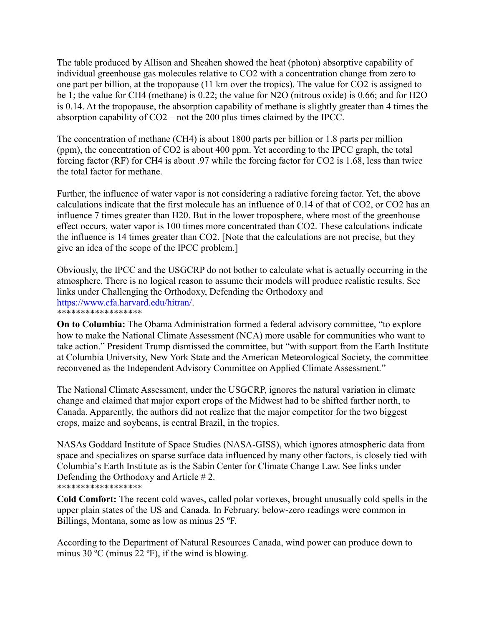The table produced by Allison and Sheahen showed the heat (photon) absorptive capability of individual greenhouse gas molecules relative to CO2 with a concentration change from zero to one part per billion, at the tropopause (11 km over the tropics). The value for CO2 is assigned to be 1; the value for CH4 (methane) is 0.22; the value for N2O (nitrous oxide) is 0.66; and for H2O is 0.14. At the tropopause, the absorption capability of methane is slightly greater than 4 times the absorption capability of CO2 – not the 200 plus times claimed by the IPCC.

The concentration of methane (CH4) is about 1800 parts per billion or 1.8 parts per million (ppm), the concentration of CO2 is about 400 ppm. Yet according to the IPCC graph, the total forcing factor (RF) for CH4 is about .97 while the forcing factor for CO2 is 1.68, less than twice the total factor for methane.

Further, the influence of water vapor is not considering a radiative forcing factor. Yet, the above calculations indicate that the first molecule has an influence of 0.14 of that of CO2, or CO2 has an influence 7 times greater than H20. But in the lower troposphere, where most of the greenhouse effect occurs, water vapor is 100 times more concentrated than CO2. These calculations indicate the influence is 14 times greater than CO2. [Note that the calculations are not precise, but they give an idea of the scope of the IPCC problem.]

Obviously, the IPCC and the USGCRP do not bother to calculate what is actually occurring in the atmosphere. There is no logical reason to assume their models will produce realistic results. See links under Challenging the Orthodoxy, Defending the Orthodoxy and [https://www.cfa.harvard.edu/hitran/.](https://www.cfa.harvard.edu/hitran/) \*\*\*\*\*\*\*\*\*\*\*\*\*\*\*\*\*\*

**On to Columbia:** The Obama Administration formed a federal advisory committee, "to explore how to make the National Climate Assessment (NCA) more usable for communities who want to take action." President Trump dismissed the committee, but "with support from the Earth Institute at Columbia University, New York State and the American Meteorological Society, the committee reconvened as the Independent Advisory Committee on Applied Climate Assessment."

The National Climate Assessment, under the USGCRP, ignores the natural variation in climate change and claimed that major export crops of the Midwest had to be shifted farther north, to Canada. Apparently, the authors did not realize that the major competitor for the two biggest crops, maize and soybeans, is central Brazil, in the tropics.

NASAs Goddard Institute of Space Studies (NASA-GISS), which ignores atmospheric data from space and specializes on sparse surface data influenced by many other factors, is closely tied with Columbia's Earth Institute as is the Sabin Center for Climate Change Law. See links under Defending the Orthodoxy and Article # 2. \*\*\*\*\*\*\*\*\*\*\*\*\*\*\*\*\*\*

**Cold Comfort:** The recent cold waves, called polar vortexes, brought unusually cold spells in the upper plain states of the US and Canada. In February, below-zero readings were common in Billings, Montana, some as low as minus 25 ºF.

According to the Department of Natural Resources Canada, wind power can produce down to minus 30 ºC (minus 22 ºF), if the wind is blowing.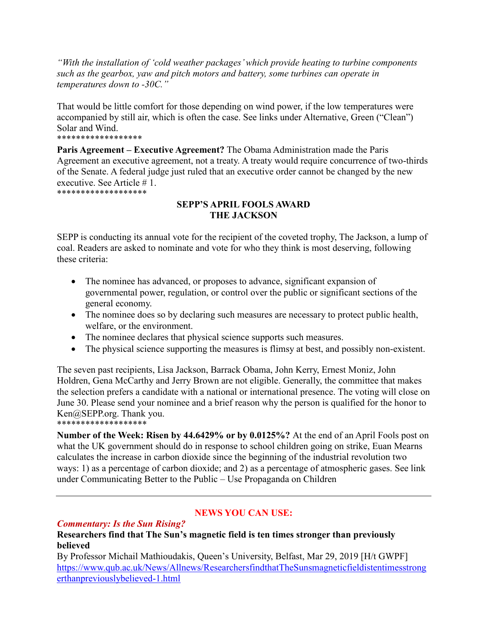*"With the installation of 'cold weather packages' which provide heating to turbine components such as the gearbox, yaw and pitch motors and battery, some turbines can operate in temperatures down to -30C."*

That would be little comfort for those depending on wind power, if the low temperatures were accompanied by still air, which is often the case. See links under Alternative, Green ("Clean") Solar and Wind. \*\*\*\*\*\*\*\*\*\*\*\*\*\*\*\*\*\*

**Paris Agreement – Executive Agreement?** The Obama Administration made the Paris Agreement an executive agreement, not a treaty. A treaty would require concurrence of two-thirds of the Senate. A federal judge just ruled that an executive order cannot be changed by the new executive. See Article # 1. \*\*\*\*\*\*\*\*\*\*\*\*\*\*\*\*\*\*\*

**SEPP'S APRIL FOOLS AWARD THE JACKSON**

SEPP is conducting its annual vote for the recipient of the coveted trophy, The Jackson, a lump of coal. Readers are asked to nominate and vote for who they think is most deserving, following these criteria:

- The nominee has advanced, or proposes to advance, significant expansion of governmental power, regulation, or control over the public or significant sections of the general economy.
- The nominee does so by declaring such measures are necessary to protect public health, welfare, or the environment.
- The nominee declares that physical science supports such measures.
- The physical science supporting the measures is flimsy at best, and possibly non-existent.

The seven past recipients, Lisa Jackson, Barrack Obama, John Kerry, Ernest Moniz, John Holdren, Gena McCarthy and Jerry Brown are not eligible. Generally, the committee that makes the selection prefers a candidate with a national or international presence. The voting will close on June 30. Please send your nominee and a brief reason why the person is qualified for the honor to Ken@SEPP.org. Thank you. \*\*\*\*\*\*\*\*\*\*\*\*\*\*\*\*\*\*\*

**Number of the Week: Risen by 44.6429% or by 0.0125%?** At the end of an April Fools post on what the UK government should do in response to school children going on strike, Euan Mearns calculates the increase in carbon dioxide since the beginning of the industrial revolution two ways: 1) as a percentage of carbon dioxide; and 2) as a percentage of atmospheric gases. See link under Communicating Better to the Public – Use Propaganda on Children

# **NEWS YOU CAN USE:**

# *Commentary: Is the Sun Rising?*

#### **Researchers find that The Sun's magnetic field is ten times stronger than previously believed**

By Professor Michail Mathioudakis, Queen's University, Belfast, Mar 29, 2019 [H/t GWPF] [https://www.qub.ac.uk/News/Allnews/ResearchersfindthatTheSunsmagneticfieldistentimesstrong](https://www.qub.ac.uk/News/Allnews/ResearchersfindthatTheSunsmagneticfieldistentimesstrongerthanpreviouslybelieved-1.html) [erthanpreviouslybelieved-1.html](https://www.qub.ac.uk/News/Allnews/ResearchersfindthatTheSunsmagneticfieldistentimesstrongerthanpreviouslybelieved-1.html)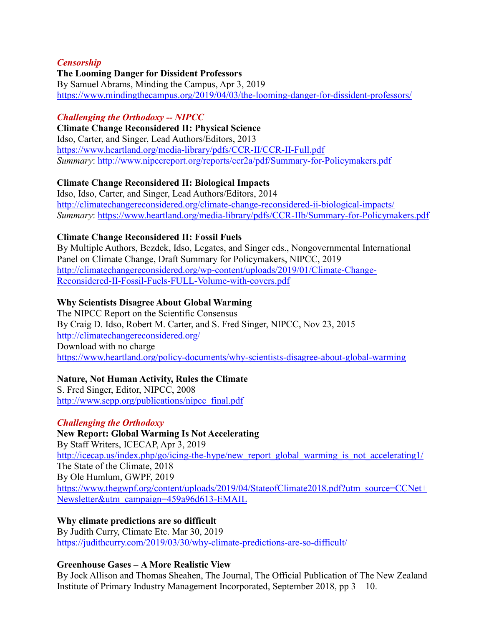### *Censorship*

## **The Looming Danger for Dissident Professors**

By Samuel Abrams, Minding the Campus, Apr 3, 2019 <https://www.mindingthecampus.org/2019/04/03/the-looming-danger-for-dissident-professors/>

### *Challenging the Orthodoxy -- NIPCC*

**Climate Change Reconsidered II: Physical Science** Idso, Carter, and Singer, Lead Authors/Editors, 2013 <https://www.heartland.org/media-library/pdfs/CCR-II/CCR-II-Full.pdf> *Summary*:<http://www.nipccreport.org/reports/ccr2a/pdf/Summary-for-Policymakers.pdf>

## **Climate Change Reconsidered II: Biological Impacts**

Idso, Idso, Carter, and Singer, Lead Authors/Editors, 2014 <http://climatechangereconsidered.org/climate-change-reconsidered-ii-biological-impacts/> *Summary*:<https://www.heartland.org/media-library/pdfs/CCR-IIb/Summary-for-Policymakers.pdf>

## **Climate Change Reconsidered II: Fossil Fuels**

By Multiple Authors, Bezdek, Idso, Legates, and Singer eds., Nongovernmental International Panel on Climate Change, Draft Summary for Policymakers, NIPCC, 2019 http://climatechangereconsidered.org/wp-content/uploads/2019/01/Climate-Change-Reconsidered-II-Fossil-Fuels-FULL-Volume-with-covers.pdf

## **Why Scientists Disagree About Global Warming**

The NIPCC Report on the Scientific Consensus By Craig D. Idso, Robert M. Carter, and S. Fred Singer, NIPCC, Nov 23, 2015 <http://climatechangereconsidered.org/> Download with no charge <https://www.heartland.org/policy-documents/why-scientists-disagree-about-global-warming>

# **Nature, Not Human Activity, Rules the Climate**

S. Fred Singer, Editor, NIPCC, 2008 [http://www.sepp.org/publications/nipcc\\_final.pdf](http://www.sepp.org/publications/nipcc_final.pdf)

#### *Challenging the Orthodoxy*

**New Report: Global Warming Is Not Accelerating** By Staff Writers, ICECAP, Apr 3, 2019 http://icecap.us/index.php/go/icing-the-hype/new report global warming is not accelerating1/ The State of the Climate, 2018 By Ole Humlum, GWPF, 2019 [https://www.thegwpf.org/content/uploads/2019/04/StateofClimate2018.pdf?utm\\_source=CCNet+](https://www.thegwpf.org/content/uploads/2019/04/StateofClimate2018.pdf?utm_source=CCNet+Newsletter&utm_campaign=459a96d613-EMAIL) [Newsletter&utm\\_campaign=459a96d613-EMAIL](https://www.thegwpf.org/content/uploads/2019/04/StateofClimate2018.pdf?utm_source=CCNet+Newsletter&utm_campaign=459a96d613-EMAIL)

**Why climate predictions are so difficult**

By Judith Curry, Climate Etc. Mar 30, 2019 <https://judithcurry.com/2019/03/30/why-climate-predictions-are-so-difficult/>

#### **Greenhouse Gases – A More Realistic View**

By Jock Allison and Thomas Sheahen, The Journal, The Official Publication of The New Zealand Institute of Primary Industry Management Incorporated, September 2018, pp 3 – 10.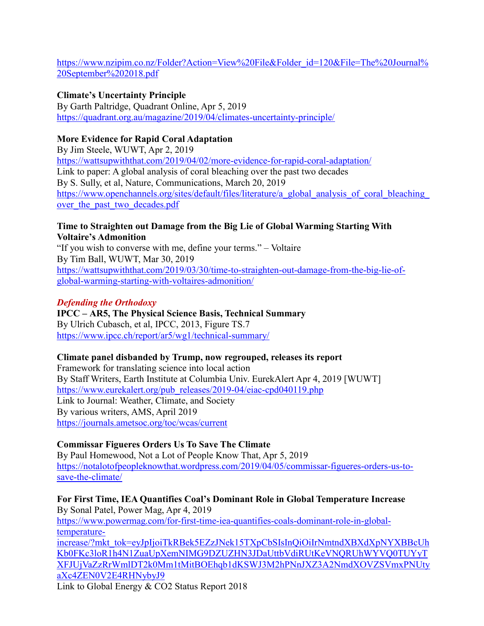[https://www.nzipim.co.nz/Folder?Action=View%20File&Folder\\_id=120&File=The%20Journal%](https://www.nzipim.co.nz/Folder?Action=View%20File&Folder_id=120&File=The%20Journal%20September%202018.pdf) [20September%202018.pdf](https://www.nzipim.co.nz/Folder?Action=View%20File&Folder_id=120&File=The%20Journal%20September%202018.pdf)

## **Climate's Uncertainty Principle**

By Garth Paltridge, Quadrant Online, Apr 5, 2019 <https://quadrant.org.au/magazine/2019/04/climates-uncertainty-principle/>

# **More Evidence for Rapid Coral Adaptation**

By Jim Steele, WUWT, Apr 2, 2019 <https://wattsupwiththat.com/2019/04/02/more-evidence-for-rapid-coral-adaptation/> Link to paper: A global analysis of coral bleaching over the past two decades By S. Sully, et al, Nature, Communications, March 20, 2019 [https://www.openchannels.org/sites/default/files/literature/a\\_global\\_analysis\\_of\\_coral\\_bleaching\\_](https://www.openchannels.org/sites/default/files/literature/a_global_analysis_of_coral_bleaching_over_the_past_two_decades.pdf) over the past two decades.pdf

#### **Time to Straighten out Damage from the Big Lie of Global Warming Starting With Voltaire's Admonition**

"If you wish to converse with me, define your terms." – Voltaire By Tim Ball, WUWT, Mar 30, 2019 [https://wattsupwiththat.com/2019/03/30/time-to-straighten-out-damage-from-the-big-lie-of](https://wattsupwiththat.com/2019/03/30/time-to-straighten-out-damage-from-the-big-lie-of-global-warming-starting-with-voltaires-admonition/)[global-warming-starting-with-voltaires-admonition/](https://wattsupwiththat.com/2019/03/30/time-to-straighten-out-damage-from-the-big-lie-of-global-warming-starting-with-voltaires-admonition/)

## *Defending the Orthodoxy*

# **IPCC – AR5, The Physical Science Basis, Technical Summary** By Ulrich Cubasch, et al, IPCC, 2013, Figure TS.7

<https://www.ipcc.ch/report/ar5/wg1/technical-summary/>

#### **Climate panel disbanded by Trump, now regrouped, releases its report**

Framework for translating science into local action By Staff Writers, Earth Institute at Columbia Univ. EurekAlert Apr 4, 2019 [WUWT] [https://www.eurekalert.org/pub\\_releases/2019-04/eiac-cpd040119.php](https://www.eurekalert.org/pub_releases/2019-04/eiac-cpd040119.php) Link to Journal: Weather, Climate, and Society By various writers, AMS, April 2019 <https://journals.ametsoc.org/toc/wcas/current>

# **Commissar Figueres Orders Us To Save The Climate**

By Paul Homewood, Not a Lot of People Know That, Apr 5, 2019 [https://notalotofpeopleknowthat.wordpress.com/2019/04/05/commissar-figueres-orders-us-to](https://notalotofpeopleknowthat.wordpress.com/2019/04/05/commissar-figueres-orders-us-to-save-the-climate/)[save-the-climate/](https://notalotofpeopleknowthat.wordpress.com/2019/04/05/commissar-figueres-orders-us-to-save-the-climate/)

**For First Time, IEA Quantifies Coal's Dominant Role in Global Temperature Increase** By Sonal Patel, Power Mag, Apr 4, 2019 [https://www.powermag.com/for-first-time-iea-quantifies-coals-dominant-role-in-global](https://www.powermag.com/for-first-time-iea-quantifies-coals-dominant-role-in-global-temperature-increase/?mkt_tok=eyJpIjoiTkRBek5EZzJNek15TXpCbSIsInQiOiIrNmtndXBXdXpNYXBBcUhKb0FKc3loR1h4N1ZuaUpXemNIMG9DZUZHN3JDaUttbVdiRUtKeVNQRUhWYVQ0TUYyTXFJUjVaZzRrWmlDT2k0Mm1tMitBOEhqb1dKSWJ3M2hPNnJXZ3A2NmdXOVZSVmxPNUtyaXc4ZEN0V2E4RHNybyJ9)[temperature](https://www.powermag.com/for-first-time-iea-quantifies-coals-dominant-role-in-global-temperature-increase/?mkt_tok=eyJpIjoiTkRBek5EZzJNek15TXpCbSIsInQiOiIrNmtndXBXdXpNYXBBcUhKb0FKc3loR1h4N1ZuaUpXemNIMG9DZUZHN3JDaUttbVdiRUtKeVNQRUhWYVQ0TUYyTXFJUjVaZzRrWmlDT2k0Mm1tMitBOEhqb1dKSWJ3M2hPNnJXZ3A2NmdXOVZSVmxPNUtyaXc4ZEN0V2E4RHNybyJ9)[increase/?mkt\\_tok=eyJpIjoiTkRBek5EZzJNek15TXpCbSIsInQiOiIrNmtndXBXdXpNYXBBcUh](https://www.powermag.com/for-first-time-iea-quantifies-coals-dominant-role-in-global-temperature-increase/?mkt_tok=eyJpIjoiTkRBek5EZzJNek15TXpCbSIsInQiOiIrNmtndXBXdXpNYXBBcUhKb0FKc3loR1h4N1ZuaUpXemNIMG9DZUZHN3JDaUttbVdiRUtKeVNQRUhWYVQ0TUYyTXFJUjVaZzRrWmlDT2k0Mm1tMitBOEhqb1dKSWJ3M2hPNnJXZ3A2NmdXOVZSVmxPNUtyaXc4ZEN0V2E4RHNybyJ9) [Kb0FKc3loR1h4N1ZuaUpXemNIMG9DZUZHN3JDaUttbVdiRUtKeVNQRUhWYVQ0TUYyT](https://www.powermag.com/for-first-time-iea-quantifies-coals-dominant-role-in-global-temperature-increase/?mkt_tok=eyJpIjoiTkRBek5EZzJNek15TXpCbSIsInQiOiIrNmtndXBXdXpNYXBBcUhKb0FKc3loR1h4N1ZuaUpXemNIMG9DZUZHN3JDaUttbVdiRUtKeVNQRUhWYVQ0TUYyTXFJUjVaZzRrWmlDT2k0Mm1tMitBOEhqb1dKSWJ3M2hPNnJXZ3A2NmdXOVZSVmxPNUtyaXc4ZEN0V2E4RHNybyJ9) [XFJUjVaZzRrWmlDT2k0Mm1tMitBOEhqb1dKSWJ3M2hPNnJXZ3A2NmdXOVZSVmxPNUty](https://www.powermag.com/for-first-time-iea-quantifies-coals-dominant-role-in-global-temperature-increase/?mkt_tok=eyJpIjoiTkRBek5EZzJNek15TXpCbSIsInQiOiIrNmtndXBXdXpNYXBBcUhKb0FKc3loR1h4N1ZuaUpXemNIMG9DZUZHN3JDaUttbVdiRUtKeVNQRUhWYVQ0TUYyTXFJUjVaZzRrWmlDT2k0Mm1tMitBOEhqb1dKSWJ3M2hPNnJXZ3A2NmdXOVZSVmxPNUtyaXc4ZEN0V2E4RHNybyJ9) [aXc4ZEN0V2E4RHNybyJ9](https://www.powermag.com/for-first-time-iea-quantifies-coals-dominant-role-in-global-temperature-increase/?mkt_tok=eyJpIjoiTkRBek5EZzJNek15TXpCbSIsInQiOiIrNmtndXBXdXpNYXBBcUhKb0FKc3loR1h4N1ZuaUpXemNIMG9DZUZHN3JDaUttbVdiRUtKeVNQRUhWYVQ0TUYyTXFJUjVaZzRrWmlDT2k0Mm1tMitBOEhqb1dKSWJ3M2hPNnJXZ3A2NmdXOVZSVmxPNUtyaXc4ZEN0V2E4RHNybyJ9)

Link to Global Energy & CO2 Status Report 2018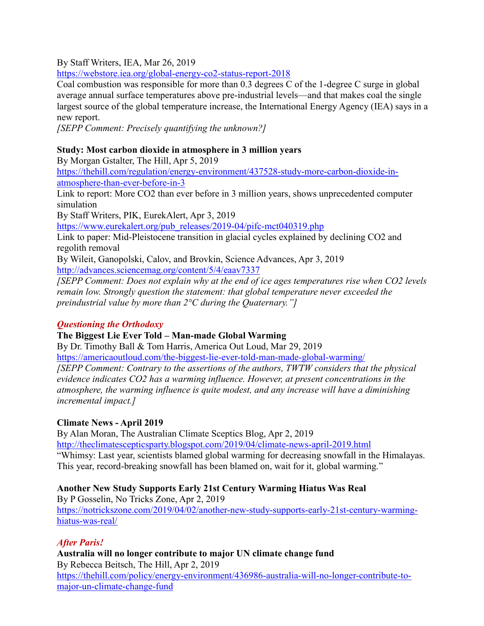By Staff Writers, IEA, Mar 26, 2019

<https://webstore.iea.org/global-energy-co2-status-report-2018>

Coal combustion was responsible for more than 0.3 degrees C of the 1-degree C surge in global average annual surface temperatures above pre-industrial levels—and that makes coal the single largest source of the global temperature increase, the International Energy Agency (IEA) says in a new report.

*[SEPP Comment: Precisely quantifying the unknown?]* 

## **Study: Most carbon dioxide in atmosphere in 3 million years**

By Morgan Gstalter, The Hill, Apr 5, 2019 [https://thehill.com/regulation/energy-environment/437528-study-more-carbon-dioxide-in](https://thehill.com/regulation/energy-environment/437528-study-more-carbon-dioxide-in-atmosphere-than-ever-before-in-3)[atmosphere-than-ever-before-in-3](https://thehill.com/regulation/energy-environment/437528-study-more-carbon-dioxide-in-atmosphere-than-ever-before-in-3) Link to report: More CO2 than ever before in 3 million years, shows unprecedented computer simulation By Staff Writers, PIK, EurekAlert, Apr 3, 2019 [https://www.eurekalert.org/pub\\_releases/2019-04/pifc-mct040319.php](https://www.eurekalert.org/pub_releases/2019-04/pifc-mct040319.php) Link to paper: Mid-Pleistocene transition in glacial cycles explained by declining CO2 and regolith removal By Wileit, Ganopolski, Calov, and Brovkin, Science Advances, Apr 3, 2019 <http://advances.sciencemag.org/content/5/4/eaav7337> *[SEPP Comment: Does not explain why at the end of ice ages temperatures rise when CO2 levels remain low. Strongly question the statement: that global temperature never exceeded the preindustrial value by more than 2°C during the Quaternary."]*

#### *Questioning the Orthodoxy*

#### **The Biggest Lie Ever Told – Man-made Global Warming**

By Dr. Timothy Ball & Tom Harris, America Out Loud, Mar 29, 2019 <https://americaoutloud.com/the-biggest-lie-ever-told-man-made-global-warming/> *[SEPP Comment: Contrary to the assertions of the authors, TWTW considers that the physical evidence indicates CO2 has a warming influence. However, at present concentrations in the atmosphere, the warming influence is quite modest, and any increase will have a diminishing incremental impact.]*

#### **Climate News - April 2019**

By Alan Moran, The Australian Climate Sceptics Blog, Apr 2, 2019 <http://theclimatescepticsparty.blogspot.com/2019/04/climate-news-april-2019.html> "Whimsy: Last year, scientists blamed global warming for decreasing snowfall in the Himalayas. This year, record-breaking snowfall has been blamed on, wait for it, global warming."

# **Another New Study Supports Early 21st Century Warming Hiatus Was Real**

By P Gosselin, No Tricks Zone, Apr 2, 2019 [https://notrickszone.com/2019/04/02/another-new-study-supports-early-21st-century-warming](https://notrickszone.com/2019/04/02/another-new-study-supports-early-21st-century-warming-hiatus-was-real/)[hiatus-was-real/](https://notrickszone.com/2019/04/02/another-new-study-supports-early-21st-century-warming-hiatus-was-real/)

#### *After Paris!*

**Australia will no longer contribute to major UN climate change fund** By Rebecca Beitsch, The Hill, Apr 2, 2019 [https://thehill.com/policy/energy-environment/436986-australia-will-no-longer-contribute-to](https://thehill.com/policy/energy-environment/436986-australia-will-no-longer-contribute-to-major-un-climate-change-fund)[major-un-climate-change-fund](https://thehill.com/policy/energy-environment/436986-australia-will-no-longer-contribute-to-major-un-climate-change-fund)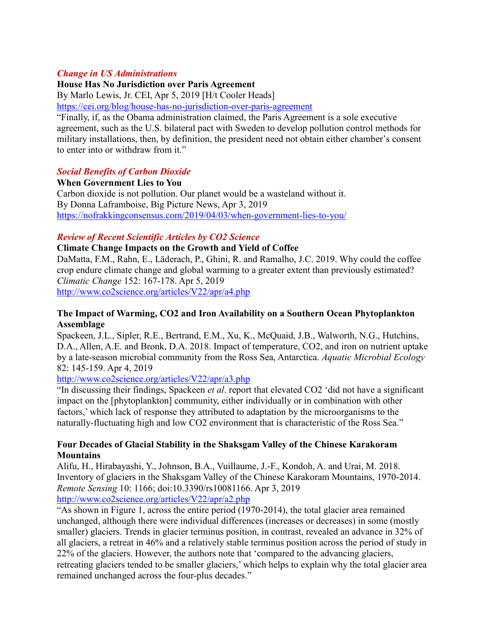#### *Change in US Administrations*

#### **House Has No Jurisdiction over Paris Agreement**

By Marlo Lewis, Jr. CEI, Apr 5, 2019 [H/t Cooler Heads]

<https://cei.org/blog/house-has-no-jurisdiction-over-paris-agreement>

"Finally, if, as the Obama administration claimed, the Paris Agreement is a sole executive agreement, such as the U.S. bilateral pact with Sweden to develop pollution control methods for military installations, then, by definition, the president need not obtain either chamber's consent to enter into or withdraw from it."

#### *Social Benefits of Carbon Dioxide*

**When Government Lies to You** Carbon dioxide is not pollution. Our planet would be a wasteland without it. By Donna Laframboise, Big Picture News, Apr 3, 2019 <https://nofrakkingconsensus.com/2019/04/03/when-government-lies-to-you/>

#### *Review of Recent Scientific Articles by CO2 Science*

#### **Climate Change Impacts on the Growth and Yield of Coffee**

DaMatta, F.M., Rahn, E., Läderach, P., Ghini, R. and Ramalho, J.C. 2019. Why could the coffee crop endure climate change and global warming to a greater extent than previously estimated? *Climatic Change* 152: 167-178. Apr 5, 2019 <http://www.co2science.org/articles/V22/apr/a4.php>

#### **The Impact of Warming, CO2 and Iron Availability on a Southern Ocean Phytoplankton Assemblage**

Spackeen, J.L., Sipler, R.E., Bertrand, E.M., Xu, K., McQuaid, J.B., Walworth, N.G., Hutchins, D.A., Allen, A.E. and Bronk, D.A. 2018. Impact of temperature, CO2, and iron on nutrient uptake by a late-season microbial community from the Ross Sea, Antarctica. *Aquatic Microbial Ecology*  82: 145-159. Apr 4, 2019

<http://www.co2science.org/articles/V22/apr/a3.php>

"In discussing their findings, Spackeen *et al*. report that elevated CO2 'did not have a significant impact on the [phytoplankton] community, either individually or in combination with other factors,' which lack of response they attributed to adaptation by the microorganisms to the naturally-fluctuating high and low CO2 environment that is characteristic of the Ross Sea."

#### **Four Decades of Glacial Stability in the Shaksgam Valley of the Chinese Karakoram Mountains**

Alifu, H., Hirabayashi, Y., Johnson, B.A., Vuillaume, J.-F., Kondoh, A. and Urai, M. 2018. Inventory of glaciers in the Shaksgam Valley of the Chinese Karakoram Mountains, 1970-2014. *Remote Sensing* 10: 1166; doi:10.3390/rs10081166. Apr 3, 2019 <http://www.co2science.org/articles/V22/apr/a2.php>

"As shown in Figure 1, across the entire period (1970-2014), the total glacier area remained unchanged, although there were individual differences (increases or decreases) in some (mostly smaller) glaciers. Trends in glacier terminus position, in contrast, revealed an advance in 32% of all glaciers, a retreat in 46% and a relatively stable terminus position across the period of study in 22% of the glaciers. However, the authors note that 'compared to the advancing glaciers, retreating glaciers tended to be smaller glaciers,' which helps to explain why the total glacier area remained unchanged across the four-plus decades."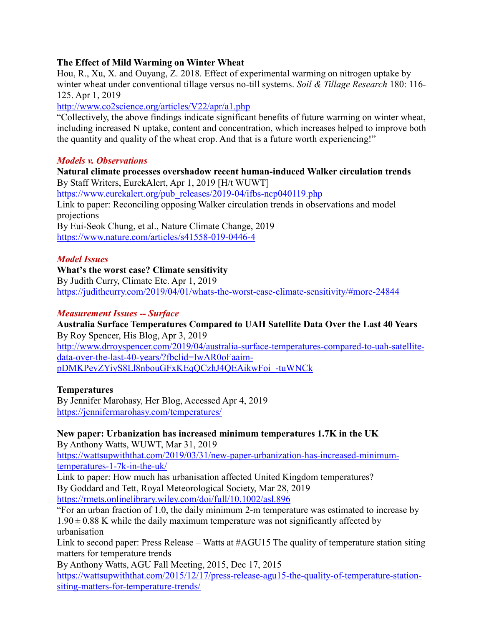### **The Effect of Mild Warming on Winter Wheat**

Hou, R., Xu, X. and Ouyang, Z. 2018. Effect of experimental warming on nitrogen uptake by winter wheat under conventional tillage versus no-till systems. *Soil & Tillage Research* 180: 116- 125. Apr 1, 2019

<http://www.co2science.org/articles/V22/apr/a1.php>

"Collectively, the above findings indicate significant benefits of future warming on winter wheat, including increased N uptake, content and concentration, which increases helped to improve both the quantity and quality of the wheat crop. And that is a future worth experiencing!"

#### *Models v. Observations*

**Natural climate processes overshadow recent human-induced Walker circulation trends** By Staff Writers, EurekAlert, Apr 1, 2019 [H/t WUWT] [https://www.eurekalert.org/pub\\_releases/2019-04/ifbs-ncp040119.php](https://www.eurekalert.org/pub_releases/2019-04/ifbs-ncp040119.php) Link to paper: Reconciling opposing Walker circulation trends in observations and model projections By Eui-Seok Chung, et al., Nature Climate Change, 2019 <https://www.nature.com/articles/s41558-019-0446-4>

## *Model Issues*

#### **What's the worst case? Climate sensitivity**

By Judith Curry, Climate Etc. Apr 1, 2019 <https://judithcurry.com/2019/04/01/whats-the-worst-case-climate-sensitivity/#more-24844>

#### *Measurement Issues -- Surface*

**Australia Surface Temperatures Compared to UAH Satellite Data Over the Last 40 Years** By Roy Spencer, His Blog, Apr 3, 2019 [http://www.drroyspencer.com/2019/04/australia-surface-temperatures-compared-to-uah-satellite](http://www.drroyspencer.com/2019/04/australia-surface-temperatures-compared-to-uah-satellite-data-over-the-last-40-years/?fbclid=IwAR0oFaaim-pDMKPevZYiyS8Ll8nbouGFxKEqQCzhJ4QEAikwFoi_-tuWNCk)[data-over-the-last-40-years/?fbclid=IwAR0oFaaim](http://www.drroyspencer.com/2019/04/australia-surface-temperatures-compared-to-uah-satellite-data-over-the-last-40-years/?fbclid=IwAR0oFaaim-pDMKPevZYiyS8Ll8nbouGFxKEqQCzhJ4QEAikwFoi_-tuWNCk)[pDMKPevZYiyS8Ll8nbouGFxKEqQCzhJ4QEAikwFoi\\_-tuWNCk](http://www.drroyspencer.com/2019/04/australia-surface-temperatures-compared-to-uah-satellite-data-over-the-last-40-years/?fbclid=IwAR0oFaaim-pDMKPevZYiyS8Ll8nbouGFxKEqQCzhJ4QEAikwFoi_-tuWNCk)

# **Temperatures**

By Jennifer Marohasy, Her Blog, Accessed Apr 4, 2019 <https://jennifermarohasy.com/temperatures/>

# **New paper: Urbanization has increased minimum temperatures 1.7K in the UK**

By Anthony Watts, WUWT, Mar 31, 2019

[https://wattsupwiththat.com/2019/03/31/new-paper-urbanization-has-increased-minimum](https://wattsupwiththat.com/2019/03/31/new-paper-urbanization-has-increased-minimum-temperatures-1-7k-in-the-uk/)[temperatures-1-7k-in-the-uk/](https://wattsupwiththat.com/2019/03/31/new-paper-urbanization-has-increased-minimum-temperatures-1-7k-in-the-uk/)

Link to paper: How much has urbanisation affected United Kingdom temperatures? By Goddard and Tett, Royal Meteorological Society, Mar 28, 2019 <https://rmets.onlinelibrary.wiley.com/doi/full/10.1002/asl.896>

"For an urban fraction of 1.0, the daily minimum 2‐m temperature was estimated to increase by  $1.90 \pm 0.88$  K while the daily maximum temperature was not significantly affected by urbanisation

Link to second paper: Press Release – Watts at #AGU15 The quality of temperature station siting matters for temperature trends

By Anthony Watts, AGU Fall Meeting, 2015, Dec 17, 2015 [https://wattsupwiththat.com/2015/12/17/press-release-agu15-the-quality-of-temperature-station](https://wattsupwiththat.com/2015/12/17/press-release-agu15-the-quality-of-temperature-station-siting-matters-for-temperature-trends/)[siting-matters-for-temperature-trends/](https://wattsupwiththat.com/2015/12/17/press-release-agu15-the-quality-of-temperature-station-siting-matters-for-temperature-trends/)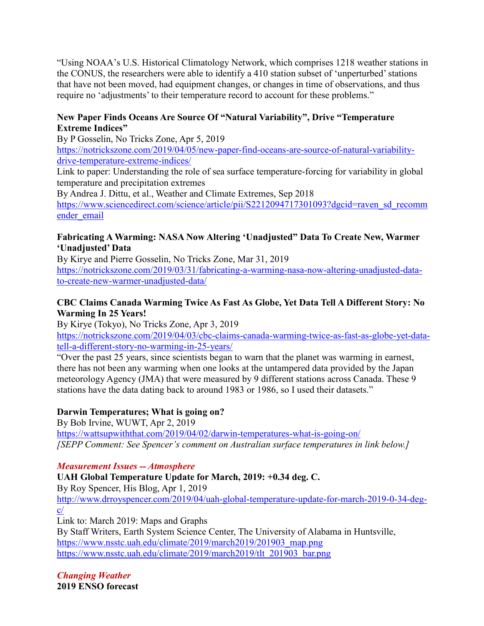"Using NOAA's U.S. Historical Climatology Network, which comprises 1218 weather stations in the CONUS, the researchers were able to identify a 410 station subset of 'unperturbed'stations that have not been moved, had equipment changes, or changes in time of observations, and thus require no 'adjustments' to their temperature record to account for these problems."

## **New Paper Finds Oceans Are Source Of "Natural Variability", Drive "Temperature Extreme Indices"**

By P Gosselin, No Tricks Zone, Apr 5, 2019

[https://notrickszone.com/2019/04/05/new-paper-find-oceans-are-source-of-natural-variability](https://notrickszone.com/2019/04/05/new-paper-find-oceans-are-source-of-natural-variability-drive-temperature-extreme-indices/)[drive-temperature-extreme-indices/](https://notrickszone.com/2019/04/05/new-paper-find-oceans-are-source-of-natural-variability-drive-temperature-extreme-indices/)

Link to paper: Understanding the role of sea surface temperature-forcing for variability in global temperature and precipitation extremes

By Andrea J. Dittu, et al., Weather and Climate Extremes, Sep 2018 [https://www.sciencedirect.com/science/article/pii/S2212094717301093?dgcid=raven\\_sd\\_recomm](https://www.sciencedirect.com/science/article/pii/S2212094717301093?dgcid=raven_sd_recommender_email) ender email

# **Fabricating A Warming: NASA Now Altering 'Unadjusted" Data To Create New, Warmer 'Unadjusted' Data**

By Kirye and Pierre Gosselin, No Tricks Zone, Mar 31, 2019 [https://notrickszone.com/2019/03/31/fabricating-a-warming-nasa-now-altering-unadjusted-data](https://notrickszone.com/2019/03/31/fabricating-a-warming-nasa-now-altering-unadjusted-data-to-create-new-warmer-unadjusted-data/)[to-create-new-warmer-unadjusted-data/](https://notrickszone.com/2019/03/31/fabricating-a-warming-nasa-now-altering-unadjusted-data-to-create-new-warmer-unadjusted-data/)

# **CBC Claims Canada Warming Twice As Fast As Globe, Yet Data Tell A Different Story: No Warming In 25 Years!**

By Kirye (Tokyo), No Tricks Zone, Apr 3, 2019

[https://notrickszone.com/2019/04/03/cbc-claims-canada-warming-twice-as-fast-as-globe-yet-data](https://notrickszone.com/2019/04/03/cbc-claims-canada-warming-twice-as-fast-as-globe-yet-data-tell-a-different-story-no-warming-in-25-years/)[tell-a-different-story-no-warming-in-25-years/](https://notrickszone.com/2019/04/03/cbc-claims-canada-warming-twice-as-fast-as-globe-yet-data-tell-a-different-story-no-warming-in-25-years/)

"Over the past 25 years, since scientists began to warn that the planet was warming in earnest, there has not been any warming when one looks at the untampered data provided by the Japan meteorology Agency (JMA) that were measured by 9 different stations across Canada. These 9 stations have the data dating back to around 1983 or 1986, so I used their datasets."

# **Darwin Temperatures; What is going on?**

By Bob Irvine, WUWT, Apr 2, 2019 <https://wattsupwiththat.com/2019/04/02/darwin-temperatures-what-is-going-on/> *[SEPP Comment: See Spencer's comment on Australian surface temperatures in link below.]*

# *Measurement Issues -- Atmosphere*

**UAH Global Temperature Update for March, 2019: +0.34 deg. C.**

By Roy Spencer, His Blog, Apr 1, 2019

[http://www.drroyspencer.com/2019/04/uah-global-temperature-update-for-march-2019-0-34-deg](http://www.drroyspencer.com/2019/04/uah-global-temperature-update-for-march-2019-0-34-deg-c/)[c/](http://www.drroyspencer.com/2019/04/uah-global-temperature-update-for-march-2019-0-34-deg-c/)

Link to: March 2019: Maps and Graphs

By Staff Writers, Earth System Science Center, The University of Alabama in Huntsville, [https://www.nsstc.uah.edu/climate/2019/march2019/201903\\_map.png](https://www.nsstc.uah.edu/climate/2019/march2019/201903_map.png) [https://www.nsstc.uah.edu/climate/2019/march2019/tlt\\_201903\\_bar.png](https://www.nsstc.uah.edu/climate/2019/march2019/tlt_201903_bar.png)

*Changing Weather* **2019 ENSO forecast**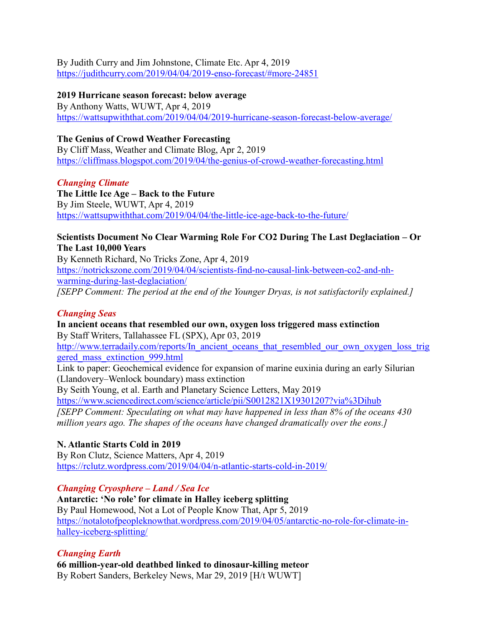By Judith Curry and Jim Johnstone, Climate Etc. Apr 4, 2019 <https://judithcurry.com/2019/04/04/2019-enso-forecast/#more-24851>

#### **2019 Hurricane season forecast: below average**

By Anthony Watts, WUWT, Apr 4, 2019 <https://wattsupwiththat.com/2019/04/04/2019-hurricane-season-forecast-below-average/>

### **The Genius of Crowd Weather Forecasting**

By Cliff Mass, Weather and Climate Blog, Apr 2, 2019 <https://cliffmass.blogspot.com/2019/04/the-genius-of-crowd-weather-forecasting.html>

#### *Changing Climate*

**The Little Ice Age – Back to the Future** By Jim Steele, WUWT, Apr 4, 2019 <https://wattsupwiththat.com/2019/04/04/the-little-ice-age-back-to-the-future/>

### **Scientists Document No Clear Warming Role For CO2 During The Last Deglaciation – Or The Last 10,000 Years**

By Kenneth Richard, No Tricks Zone, Apr 4, 2019 [https://notrickszone.com/2019/04/04/scientists-find-no-causal-link-between-co2-and-nh](https://notrickszone.com/2019/04/04/scientists-find-no-causal-link-between-co2-and-nh-warming-during-last-deglaciation/)[warming-during-last-deglaciation/](https://notrickszone.com/2019/04/04/scientists-find-no-causal-link-between-co2-and-nh-warming-during-last-deglaciation/) *[SEPP Comment: The period at the end of the Younger Dryas, is not satisfactorily explained.]*

#### *Changing Seas*

## **In ancient oceans that resembled our own, oxygen loss triggered mass extinction** By Staff Writers, Tallahassee FL (SPX), Apr 03, 2019

http://www.terradaily.com/reports/In ancient oceans that resembled our own oxygen loss trig [gered\\_mass\\_extinction\\_999.html](http://www.terradaily.com/reports/In_ancient_oceans_that_resembled_our_own_oxygen_loss_triggered_mass_extinction_999.html)

Link to paper: Geochemical evidence for expansion of marine euxinia during an early Silurian (Llandovery–Wenlock boundary) mass extinction

By Seith Young, et al. Earth and Planetary Science Letters, May 2019 <https://www.sciencedirect.com/science/article/pii/S0012821X19301207?via%3Dihub>

*[SEPP Comment: Speculating on what may have happened in less than 8% of the oceans 430 million years ago. The shapes of the oceans have changed dramatically over the eons.]*

# **N. Atlantic Starts Cold in 2019**

By Ron Clutz, Science Matters, Apr 4, 2019 <https://rclutz.wordpress.com/2019/04/04/n-atlantic-starts-cold-in-2019/>

#### *Changing Cryosphere – Land / Sea Ice*

**Antarctic: 'No role' for climate in Halley iceberg splitting** By Paul Homewood, Not a Lot of People Know That, Apr 5, 2019 [https://notalotofpeopleknowthat.wordpress.com/2019/04/05/antarctic-no-role-for-climate-in](https://notalotofpeopleknowthat.wordpress.com/2019/04/05/antarctic-no-role-for-climate-in-halley-iceberg-splitting/)[halley-iceberg-splitting/](https://notalotofpeopleknowthat.wordpress.com/2019/04/05/antarctic-no-role-for-climate-in-halley-iceberg-splitting/)

# *Changing Earth*

**66 million-year-old deathbed linked to dinosaur-killing meteor** By Robert Sanders, Berkeley News, Mar 29, 2019 [H/t WUWT]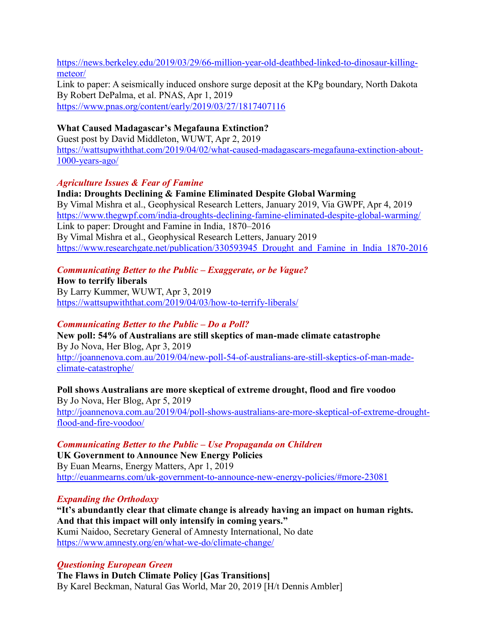[https://news.berkeley.edu/2019/03/29/66-million-year-old-deathbed-linked-to-dinosaur-killing](https://news.berkeley.edu/2019/03/29/66-million-year-old-deathbed-linked-to-dinosaur-killing-meteor/)[meteor/](https://news.berkeley.edu/2019/03/29/66-million-year-old-deathbed-linked-to-dinosaur-killing-meteor/) Link to paper: A seismically induced onshore surge deposit at the KPg boundary, North Dakota By Robert DePalma, et al. PNAS, Apr 1, 2019

<https://www.pnas.org/content/early/2019/03/27/1817407116>

### **What Caused Madagascar's Megafauna Extinction?**

Guest post by David Middleton, WUWT, Apr 2, 2019 [https://wattsupwiththat.com/2019/04/02/what-caused-madagascars-megafauna-extinction-about-](https://wattsupwiththat.com/2019/04/02/what-caused-madagascars-megafauna-extinction-about-1000-years-ago/)[1000-years-ago/](https://wattsupwiththat.com/2019/04/02/what-caused-madagascars-megafauna-extinction-about-1000-years-ago/)

## *Agriculture Issues & Fear of Famine*

**India: Droughts Declining & Famine Eliminated Despite Global Warming** By Vimal Mishra et al., Geophysical Research Letters, January 2019, Via GWPF, Apr 4, 2019 <https://www.thegwpf.com/india-droughts-declining-famine-eliminated-despite-global-warming/> Link to paper: Drought and Famine in India, 1870–2016 By Vimal Mishra et al., Geophysical Research Letters, January 2019 [https://www.researchgate.net/publication/330593945\\_Drought\\_and\\_Famine\\_in\\_India\\_1870-2016](https://www.researchgate.net/publication/330593945_Drought_and_Famine_in_India_1870-2016)

## *Communicating Better to the Public – Exaggerate, or be Vague?*

**How to terrify liberals** By Larry Kummer, WUWT, Apr 3, 2019 <https://wattsupwiththat.com/2019/04/03/how-to-terrify-liberals/>

#### *Communicating Better to the Public – Do a Poll?*

**New poll: 54% of Australians are still skeptics of man-made climate catastrophe** By Jo Nova, Her Blog, Apr 3, 2019 [http://joannenova.com.au/2019/04/new-poll-54-of-australians-are-still-skeptics-of-man-made](http://joannenova.com.au/2019/04/new-poll-54-of-australians-are-still-skeptics-of-man-made-climate-catastrophe/)[climate-catastrophe/](http://joannenova.com.au/2019/04/new-poll-54-of-australians-are-still-skeptics-of-man-made-climate-catastrophe/)

**Poll shows Australians are more skeptical of extreme drought, flood and fire voodoo** By Jo Nova, Her Blog, Apr 5, 2019 [http://joannenova.com.au/2019/04/poll-shows-australians-are-more-skeptical-of-extreme-drought](http://joannenova.com.au/2019/04/poll-shows-australians-are-more-skeptical-of-extreme-drought-flood-and-fire-voodoo/)[flood-and-fire-voodoo/](http://joannenova.com.au/2019/04/poll-shows-australians-are-more-skeptical-of-extreme-drought-flood-and-fire-voodoo/)

*Communicating Better to the Public – Use Propaganda on Children* **UK Government to Announce New Energy Policies** By Euan Mearns, Energy Matters, Apr 1, 2019 <http://euanmearns.com/uk-government-to-announce-new-energy-policies/#more-23081>

# *Expanding the Orthodoxy*

**"It's abundantly clear that climate change is already having an impact on human rights. And that this impact will only intensify in coming years."** Kumi Naidoo, Secretary General of Amnesty International, No date <https://www.amnesty.org/en/what-we-do/climate-change/>

#### *Questioning European Green*

**The Flaws in Dutch Climate Policy [Gas Transitions]** By Karel Beckman, Natural Gas World, Mar 20, 2019 [H/t Dennis Ambler]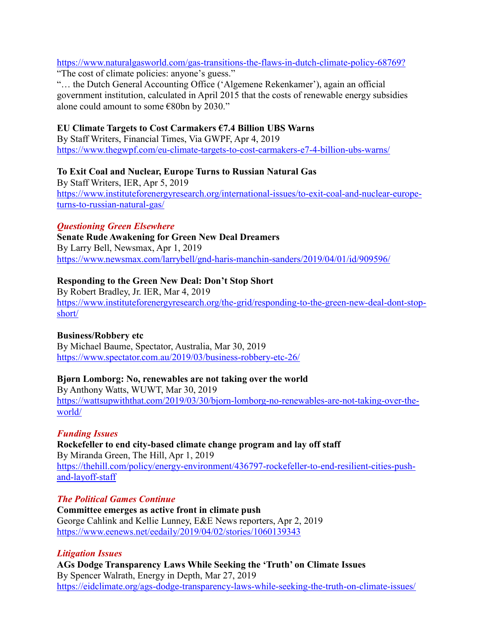<https://www.naturalgasworld.com/gas-transitions-the-flaws-in-dutch-climate-policy-68769?> "The cost of climate policies: anyone's guess."

"… the Dutch General Accounting Office ('Algemene Rekenkamer'), again an official government institution, calculated in April 2015 that the costs of renewable energy subsidies alone could amount to some €80bn by 2030."

### **EU Climate Targets to Cost Carmakers €7.4 Billion UBS Warns**

By Staff Writers, Financial Times, Via GWPF, Apr 4, 2019 <https://www.thegwpf.com/eu-climate-targets-to-cost-carmakers-e7-4-billion-ubs-warns/>

## **To Exit Coal and Nuclear, Europe Turns to Russian Natural Gas**

By Staff Writers, IER, Apr 5, 2019 [https://www.instituteforenergyresearch.org/international-issues/to-exit-coal-and-nuclear-europe](https://www.instituteforenergyresearch.org/international-issues/to-exit-coal-and-nuclear-europe-turns-to-russian-natural-gas/)[turns-to-russian-natural-gas/](https://www.instituteforenergyresearch.org/international-issues/to-exit-coal-and-nuclear-europe-turns-to-russian-natural-gas/)

#### *Questioning Green Elsewhere*

**Senate Rude Awakening for Green New Deal Dreamers** By Larry Bell, Newsmax, Apr 1, 2019 <https://www.newsmax.com/larrybell/gnd-haris-manchin-sanders/2019/04/01/id/909596/>

#### **Responding to the Green New Deal: Don't Stop Short**

By Robert Bradley, Jr. IER, Mar 4, 2019 [https://www.instituteforenergyresearch.org/the-grid/responding-to-the-green-new-deal-dont-stop](https://www.instituteforenergyresearch.org/the-grid/responding-to-the-green-new-deal-dont-stop-short/)[short/](https://www.instituteforenergyresearch.org/the-grid/responding-to-the-green-new-deal-dont-stop-short/)

#### **Business/Robbery etc**

By Michael Baume, Spectator, Australia, Mar 30, 2019 <https://www.spectator.com.au/2019/03/business-robbery-etc-26/>

#### **Bjørn Lomborg: No, renewables are not taking over the world**

By Anthony Watts, WUWT, Mar 30, 2019 [https://wattsupwiththat.com/2019/03/30/bjorn-lomborg-no-renewables-are-not-taking-over-the](https://wattsupwiththat.com/2019/03/30/bjorn-lomborg-no-renewables-are-not-taking-over-the-world/)[world/](https://wattsupwiththat.com/2019/03/30/bjorn-lomborg-no-renewables-are-not-taking-over-the-world/)

#### *Funding Issues*

**Rockefeller to end city-based climate change program and lay off staff** By Miranda Green, The Hill, Apr 1, 2019 [https://thehill.com/policy/energy-environment/436797-rockefeller-to-end-resilient-cities-push](https://thehill.com/policy/energy-environment/436797-rockefeller-to-end-resilient-cities-push-and-layoff-staff)[and-layoff-staff](https://thehill.com/policy/energy-environment/436797-rockefeller-to-end-resilient-cities-push-and-layoff-staff)

#### *The Political Games Continue*

**Committee emerges as active front in climate push** George Cahlink and Kellie Lunney, E&E News reporters, Apr 2, 2019 <https://www.eenews.net/eedaily/2019/04/02/stories/1060139343>

#### *Litigation Issues*

**AGs Dodge Transparency Laws While Seeking the 'Truth' on Climate Issues** By Spencer Walrath, Energy in Depth, Mar 27, 2019 <https://eidclimate.org/ags-dodge-transparency-laws-while-seeking-the-truth-on-climate-issues/>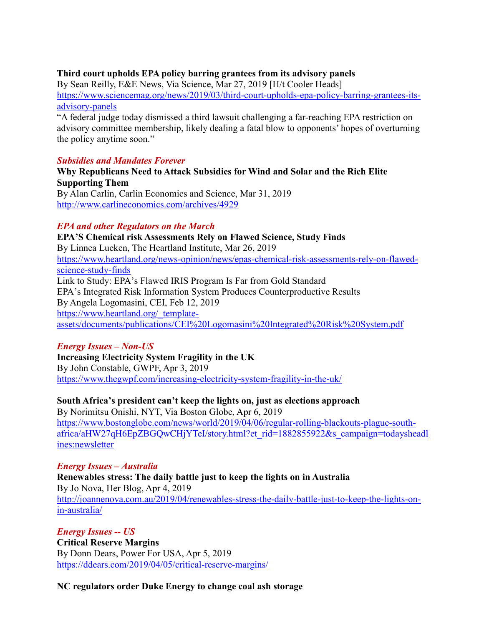#### **Third court upholds EPA policy barring grantees from its advisory panels**

By Sean Reilly, E&E News, Via Science, Mar 27, 2019 [H/t Cooler Heads] [https://www.sciencemag.org/news/2019/03/third-court-upholds-epa-policy-barring-grantees-its](https://www.sciencemag.org/news/2019/03/third-court-upholds-epa-policy-barring-grantees-its-advisory-panels)[advisory-panels](https://www.sciencemag.org/news/2019/03/third-court-upholds-epa-policy-barring-grantees-its-advisory-panels)

"A federal judge today dismissed a third lawsuit challenging a far-reaching EPA restriction on advisory committee membership, likely dealing a fatal blow to opponents' hopes of overturning the policy anytime soon."

#### *Subsidies and Mandates Forever*

**Why Republicans Need to Attack Subsidies for Wind and Solar and the Rich Elite Supporting Them** By Alan Carlin, Carlin Economics and Science, Mar 31, 2019

<http://www.carlineconomics.com/archives/4929>

#### *EPA and other Regulators on the March*

**EPA'S Chemical risk Assessments Rely on Flawed Science, Study Finds** By Linnea Lueken, The Heartland Institute, Mar 26, 2019 [https://www.heartland.org/news-opinion/news/epas-chemical-risk-assessments-rely-on-flawed](https://www.heartland.org/news-opinion/news/epas-chemical-risk-assessments-rely-on-flawed-science-study-finds)[science-study-finds](https://www.heartland.org/news-opinion/news/epas-chemical-risk-assessments-rely-on-flawed-science-study-finds) Link to Study: EPA's Flawed IRIS Program Is Far from Gold Standard EPA's Integrated Risk Information System Produces Counterproductive Results By Angela Logomasini, CEI, Feb 12, 2019 [https://www.heartland.org/\\_template](https://www.heartland.org/_template-assets/documents/publications/CEI%20Logomasini%20Integrated%20Risk%20System.pdf)[assets/documents/publications/CEI%20Logomasini%20Integrated%20Risk%20System.pdf](https://www.heartland.org/_template-assets/documents/publications/CEI%20Logomasini%20Integrated%20Risk%20System.pdf)

#### *Energy Issues – Non-US*

**Increasing Electricity System Fragility in the UK** By John Constable, GWPF, Apr 3, 2019 <https://www.thegwpf.com/increasing-electricity-system-fragility-in-the-uk/>

#### **South Africa's president can't keep the lights on, just as elections approach**

By Norimitsu Onishi, NYT, Via Boston Globe, Apr 6, 2019 [https://www.bostonglobe.com/news/world/2019/04/06/regular-rolling-blackouts-plague-south](https://www.bostonglobe.com/news/world/2019/04/06/regular-rolling-blackouts-plague-south-africa/aHW27qH6EpZBGQwCHjYTeI/story.html?et_rid=1882855922&s_campaign=todaysheadlines:newsletter)[africa/aHW27qH6EpZBGQwCHjYTeI/story.html?et\\_rid=1882855922&s\\_campaign=todaysheadl](https://www.bostonglobe.com/news/world/2019/04/06/regular-rolling-blackouts-plague-south-africa/aHW27qH6EpZBGQwCHjYTeI/story.html?et_rid=1882855922&s_campaign=todaysheadlines:newsletter) [ines:newsletter](https://www.bostonglobe.com/news/world/2019/04/06/regular-rolling-blackouts-plague-south-africa/aHW27qH6EpZBGQwCHjYTeI/story.html?et_rid=1882855922&s_campaign=todaysheadlines:newsletter)

#### *Energy Issues – Australia*

**Renewables stress: The daily battle just to keep the lights on in Australia** By Jo Nova, Her Blog, Apr 4, 2019 [http://joannenova.com.au/2019/04/renewables-stress-the-daily-battle-just-to-keep-the-lights-on](http://joannenova.com.au/2019/04/renewables-stress-the-daily-battle-just-to-keep-the-lights-on-in-australia/)[in-australia/](http://joannenova.com.au/2019/04/renewables-stress-the-daily-battle-just-to-keep-the-lights-on-in-australia/)

#### *Energy Issues -- US* **Critical Reserve Margins** By Donn Dears, Power For USA, Apr 5, 2019 <https://ddears.com/2019/04/05/critical-reserve-margins/>

**NC regulators order Duke Energy to change coal ash storage**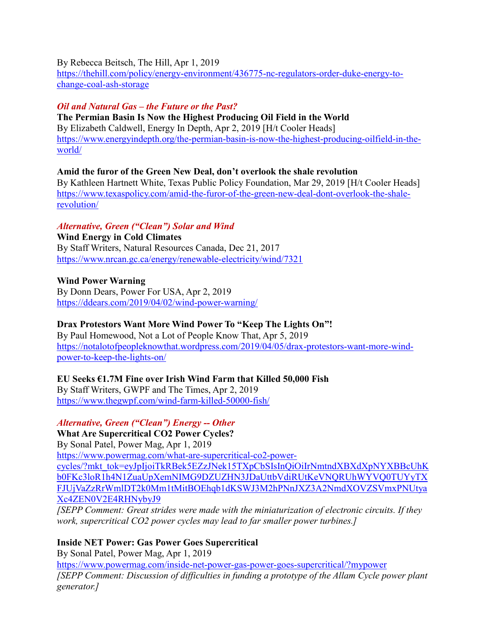By Rebecca Beitsch, The Hill, Apr 1, 2019

[https://thehill.com/policy/energy-environment/436775-nc-regulators-order-duke-energy-to](https://thehill.com/policy/energy-environment/436775-nc-regulators-order-duke-energy-to-change-coal-ash-storage)[change-coal-ash-storage](https://thehill.com/policy/energy-environment/436775-nc-regulators-order-duke-energy-to-change-coal-ash-storage)

## *Oil and Natural Gas – the Future or the Past?*

**The Permian Basin Is Now the Highest Producing Oil Field in the World**  By Elizabeth Caldwell, Energy In Depth, Apr 2, 2019 [H/t Cooler Heads] [https://www.energyindepth.org/the-permian-basin-is-now-the-highest-producing-oilfield-in-the](https://www.energyindepth.org/the-permian-basin-is-now-the-highest-producing-oilfield-in-the-world/)[world/](https://www.energyindepth.org/the-permian-basin-is-now-the-highest-producing-oilfield-in-the-world/)

**Amid the furor of the Green New Deal, don't overlook the shale revolution** By Kathleen Hartnett White, Texas Public Policy Foundation, Mar 29, 2019 [H/t Cooler Heads]

[https://www.texaspolicy.com/amid-the-furor-of-the-green-new-deal-dont-overlook-the-shale](https://www.texaspolicy.com/amid-the-furor-of-the-green-new-deal-dont-overlook-the-shale-revolution/)[revolution/](https://www.texaspolicy.com/amid-the-furor-of-the-green-new-deal-dont-overlook-the-shale-revolution/)

#### *Alternative, Green ("Clean") Solar and Wind*

**Wind Energy in Cold Climates** By Staff Writers, Natural Resources Canada, Dec 21, 2017 <https://www.nrcan.gc.ca/energy/renewable-electricity/wind/7321>

**Wind Power Warning** By Donn Dears, Power For USA, Apr 2, 2019 <https://ddears.com/2019/04/02/wind-power-warning/>

# **Drax Protestors Want More Wind Power To "Keep The Lights On"!**

By Paul Homewood, Not a Lot of People Know That, Apr 5, 2019 [https://notalotofpeopleknowthat.wordpress.com/2019/04/05/drax-protestors-want-more-wind](https://notalotofpeopleknowthat.wordpress.com/2019/04/05/drax-protestors-want-more-wind-power-to-keep-the-lights-on/)[power-to-keep-the-lights-on/](https://notalotofpeopleknowthat.wordpress.com/2019/04/05/drax-protestors-want-more-wind-power-to-keep-the-lights-on/)

#### **EU Seeks €1.7M Fine over Irish Wind Farm that Killed 50,000 Fish**

By Staff Writers, GWPF and The Times, Apr 2, 2019 <https://www.thegwpf.com/wind-farm-killed-50000-fish/>

# *Alternative, Green ("Clean") Energy -- Other*

#### **What Are Supercritical CO2 Power Cycles?**

By Sonal Patel, Power Mag, Apr 1, 2019

[https://www.powermag.com/what-are-supercritical-co2-power-](https://www.powermag.com/what-are-supercritical-co2-power-cycles/?mkt_tok=eyJpIjoiTkRBek5EZzJNek15TXpCbSIsInQiOiIrNmtndXBXdXpNYXBBcUhKb0FKc3loR1h4N1ZuaUpXemNIMG9DZUZHN3JDaUttbVdiRUtKeVNQRUhWYVQ0TUYyTXFJUjVaZzRrWmlDT2k0Mm1tMitBOEhqb1dKSWJ3M2hPNnJXZ3A2NmdXOVZSVmxPNUtyaXc4ZEN0V2E4RHNybyJ9)

[cycles/?mkt\\_tok=eyJpIjoiTkRBek5EZzJNek15TXpCbSIsInQiOiIrNmtndXBXdXpNYXBBcUhK](https://www.powermag.com/what-are-supercritical-co2-power-cycles/?mkt_tok=eyJpIjoiTkRBek5EZzJNek15TXpCbSIsInQiOiIrNmtndXBXdXpNYXBBcUhKb0FKc3loR1h4N1ZuaUpXemNIMG9DZUZHN3JDaUttbVdiRUtKeVNQRUhWYVQ0TUYyTXFJUjVaZzRrWmlDT2k0Mm1tMitBOEhqb1dKSWJ3M2hPNnJXZ3A2NmdXOVZSVmxPNUtyaXc4ZEN0V2E4RHNybyJ9) [b0FKc3loR1h4N1ZuaUpXemNIMG9DZUZHN3JDaUttbVdiRUtKeVNQRUhWYVQ0TUYyTX](https://www.powermag.com/what-are-supercritical-co2-power-cycles/?mkt_tok=eyJpIjoiTkRBek5EZzJNek15TXpCbSIsInQiOiIrNmtndXBXdXpNYXBBcUhKb0FKc3loR1h4N1ZuaUpXemNIMG9DZUZHN3JDaUttbVdiRUtKeVNQRUhWYVQ0TUYyTXFJUjVaZzRrWmlDT2k0Mm1tMitBOEhqb1dKSWJ3M2hPNnJXZ3A2NmdXOVZSVmxPNUtyaXc4ZEN0V2E4RHNybyJ9) [FJUjVaZzRrWmlDT2k0Mm1tMitBOEhqb1dKSWJ3M2hPNnJXZ3A2NmdXOVZSVmxPNUtya](https://www.powermag.com/what-are-supercritical-co2-power-cycles/?mkt_tok=eyJpIjoiTkRBek5EZzJNek15TXpCbSIsInQiOiIrNmtndXBXdXpNYXBBcUhKb0FKc3loR1h4N1ZuaUpXemNIMG9DZUZHN3JDaUttbVdiRUtKeVNQRUhWYVQ0TUYyTXFJUjVaZzRrWmlDT2k0Mm1tMitBOEhqb1dKSWJ3M2hPNnJXZ3A2NmdXOVZSVmxPNUtyaXc4ZEN0V2E4RHNybyJ9) [Xc4ZEN0V2E4RHNybyJ9](https://www.powermag.com/what-are-supercritical-co2-power-cycles/?mkt_tok=eyJpIjoiTkRBek5EZzJNek15TXpCbSIsInQiOiIrNmtndXBXdXpNYXBBcUhKb0FKc3loR1h4N1ZuaUpXemNIMG9DZUZHN3JDaUttbVdiRUtKeVNQRUhWYVQ0TUYyTXFJUjVaZzRrWmlDT2k0Mm1tMitBOEhqb1dKSWJ3M2hPNnJXZ3A2NmdXOVZSVmxPNUtyaXc4ZEN0V2E4RHNybyJ9)

*[SEPP Comment: Great strides were made with the miniaturization of electronic circuits. If they work, supercritical CO2 power cycles may lead to far smaller power turbines.]*

# **Inside NET Power: Gas Power Goes Supercritical**

By Sonal Patel, Power Mag, Apr 1, 2019 <https://www.powermag.com/inside-net-power-gas-power-goes-supercritical/?mypower> *[SEPP Comment: Discussion of difficulties in funding a prototype of the Allam Cycle power plant generator.]*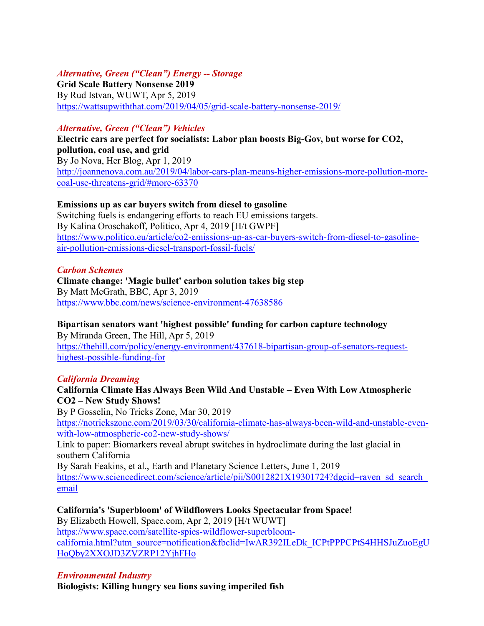#### *Alternative, Green ("Clean") Energy -- Storage*

**Grid Scale Battery Nonsense 2019** By Rud Istvan, WUWT, Apr 5, 2019 <https://wattsupwiththat.com/2019/04/05/grid-scale-battery-nonsense-2019/>

#### *Alternative, Green ("Clean") Vehicles*

**Electric cars are perfect for socialists: Labor plan boosts Big-Gov, but worse for CO2, pollution, coal use, and grid** By Jo Nova, Her Blog, Apr 1, 2019 [http://joannenova.com.au/2019/04/labor-cars-plan-means-higher-emissions-more-pollution-more](http://joannenova.com.au/2019/04/labor-cars-plan-means-higher-emissions-more-pollution-more-coal-use-threatens-grid/#more-63370)[coal-use-threatens-grid/#more-63370](http://joannenova.com.au/2019/04/labor-cars-plan-means-higher-emissions-more-pollution-more-coal-use-threatens-grid/#more-63370)

#### **Emissions up as car buyers switch from diesel to gasoline**

Switching fuels is endangering efforts to reach EU emissions targets. By Kalina Oroschakoff, Politico, Apr 4, 2019 [H/t GWPF] [https://www.politico.eu/article/co2-emissions-up-as-car-buyers-switch-from-diesel-to-gasoline](https://www.politico.eu/article/co2-emissions-up-as-car-buyers-switch-from-diesel-to-gasoline-air-pollution-emissions-diesel-transport-fossil-fuels/)[air-pollution-emissions-diesel-transport-fossil-fuels/](https://www.politico.eu/article/co2-emissions-up-as-car-buyers-switch-from-diesel-to-gasoline-air-pollution-emissions-diesel-transport-fossil-fuels/)

#### *Carbon Schemes*

**Climate change: 'Magic bullet' carbon solution takes big step** By Matt McGrath, BBC, Apr 3, 2019 <https://www.bbc.com/news/science-environment-47638586>

#### **Bipartisan senators want 'highest possible' funding for carbon capture technology**

By Miranda Green, The Hill, Apr 5, 2019 [https://thehill.com/policy/energy-environment/437618-bipartisan-group-of-senators-request](https://thehill.com/policy/energy-environment/437618-bipartisan-group-of-senators-request-highest-possible-funding-for)[highest-possible-funding-for](https://thehill.com/policy/energy-environment/437618-bipartisan-group-of-senators-request-highest-possible-funding-for)

#### *California Dreaming*

#### **California Climate Has Always Been Wild And Unstable – Even With Low Atmospheric CO2 – New Study Shows!**

By P Gosselin, No Tricks Zone, Mar 30, 2019 [https://notrickszone.com/2019/03/30/california-climate-has-always-been-wild-and-unstable-even](https://notrickszone.com/2019/03/30/california-climate-has-always-been-wild-and-unstable-even-with-low-atmospheric-co2-new-study-shows/)[with-low-atmospheric-co2-new-study-shows/](https://notrickszone.com/2019/03/30/california-climate-has-always-been-wild-and-unstable-even-with-low-atmospheric-co2-new-study-shows/)

Link to paper: Biomarkers reveal abrupt switches in hydroclimate during the last glacial in southern California

By Sarah Feakins, et al., Earth and Planetary Science Letters, June 1, 2019 https://www.sciencedirect.com/science/article/pii/S0012821X19301724?dgcid=raven\_sd\_search [email](https://www.sciencedirect.com/science/article/pii/S0012821X19301724?dgcid=raven_sd_search_email)

**California's 'Superbloom' of Wildflowers Looks Spectacular from Space!** By Elizabeth Howell, Space.com, Apr 2, 2019 [H/t WUWT] [https://www.space.com/satellite-spies-wildflower-superbloom](https://www.space.com/satellite-spies-wildflower-superbloom-california.html?utm_source=notification&fbclid=IwAR392ILeDk_ICPtPPPCPtS4HHSJuZuoEgUHoQby2XXOJD3ZVZRP12YjhFHo)[california.html?utm\\_source=notification&fbclid=IwAR392ILeDk\\_ICPtPPPCPtS4HHSJuZuoEgU](https://www.space.com/satellite-spies-wildflower-superbloom-california.html?utm_source=notification&fbclid=IwAR392ILeDk_ICPtPPPCPtS4HHSJuZuoEgUHoQby2XXOJD3ZVZRP12YjhFHo) [HoQby2XXOJD3ZVZRP12YjhFHo](https://www.space.com/satellite-spies-wildflower-superbloom-california.html?utm_source=notification&fbclid=IwAR392ILeDk_ICPtPPPCPtS4HHSJuZuoEgUHoQby2XXOJD3ZVZRP12YjhFHo)

#### *Environmental Industry*

**Biologists: Killing hungry sea lions saving imperiled fish**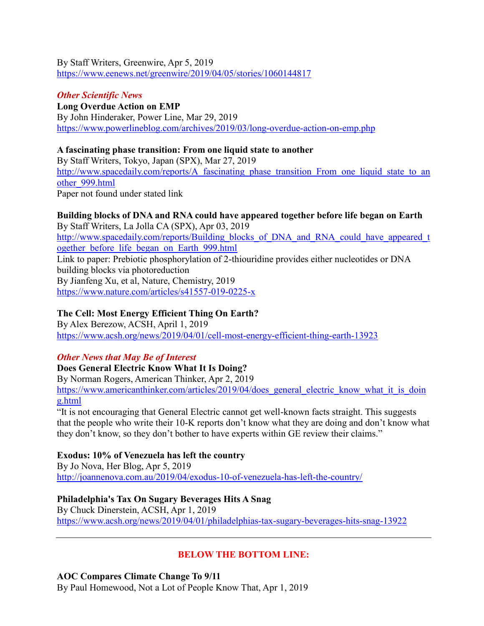By Staff Writers, Greenwire, Apr 5, 2019 <https://www.eenews.net/greenwire/2019/04/05/stories/1060144817>

#### *Other Scientific News*

**Long Overdue Action on EMP** By John Hinderaker, Power Line, Mar 29, 2019 <https://www.powerlineblog.com/archives/2019/03/long-overdue-action-on-emp.php>

#### **A fascinating phase transition: From one liquid state to another**

By Staff Writers, Tokyo, Japan (SPX), Mar 27, 2019 [http://www.spacedaily.com/reports/A\\_fascinating\\_phase\\_transition\\_From\\_one\\_liquid\\_state\\_to\\_an](http://www.spacedaily.com/reports/A_fascinating_phase_transition_From_one_liquid_state_to_another_999.html) [other\\_999.html](http://www.spacedaily.com/reports/A_fascinating_phase_transition_From_one_liquid_state_to_another_999.html) Paper not found under stated link

#### **Building blocks of DNA and RNA could have appeared together before life began on Earth**

By Staff Writers, La Jolla CA (SPX), Apr 03, 2019 [http://www.spacedaily.com/reports/Building\\_blocks\\_of\\_DNA\\_and\\_RNA\\_could\\_have\\_appeared\\_t](http://www.spacedaily.com/reports/Building_blocks_of_DNA_and_RNA_could_have_appeared_together_before_life_began_on_Earth_999.html) [ogether\\_before\\_life\\_began\\_on\\_Earth\\_999.html](http://www.spacedaily.com/reports/Building_blocks_of_DNA_and_RNA_could_have_appeared_together_before_life_began_on_Earth_999.html) Link to paper: Prebiotic phosphorylation of 2-thiouridine provides either nucleotides or DNA building blocks via photoreduction By Jianfeng Xu, et al, Nature, Chemistry, 2019 <https://www.nature.com/articles/s41557-019-0225-x>

#### **The Cell: Most Energy Efficient Thing On Earth?**

By Alex Berezow, ACSH, April 1, 2019 <https://www.acsh.org/news/2019/04/01/cell-most-energy-efficient-thing-earth-13923>

#### *Other News that May Be of Interest*

**Does General Electric Know What It Is Doing?**

By Norman Rogers, American Thinker, Apr 2, 2019

[https://www.americanthinker.com/articles/2019/04/does\\_general\\_electric\\_know\\_what\\_it\\_is\\_doin](https://www.americanthinker.com/articles/2019/04/does_general_electric_know_what_it_is_doing.html) [g.html](https://www.americanthinker.com/articles/2019/04/does_general_electric_know_what_it_is_doing.html)

"It is not encouraging that General Electric cannot get well-known facts straight. This suggests that the people who write their 10-K reports don't know what they are doing and don't know what they don't know, so they don't bother to have experts within GE review their claims."

#### **Exodus: 10% of Venezuela has left the country**

By Jo Nova, Her Blog, Apr 5, 2019 <http://joannenova.com.au/2019/04/exodus-10-of-venezuela-has-left-the-country/>

#### **Philadelphia's Tax On Sugary Beverages Hits A Snag**

By Chuck Dinerstein, ACSH, Apr 1, 2019 <https://www.acsh.org/news/2019/04/01/philadelphias-tax-sugary-beverages-hits-snag-13922>

# **BELOW THE BOTTOM LINE:**

#### **AOC Compares Climate Change To 9/11**

By Paul Homewood, Not a Lot of People Know That, Apr 1, 2019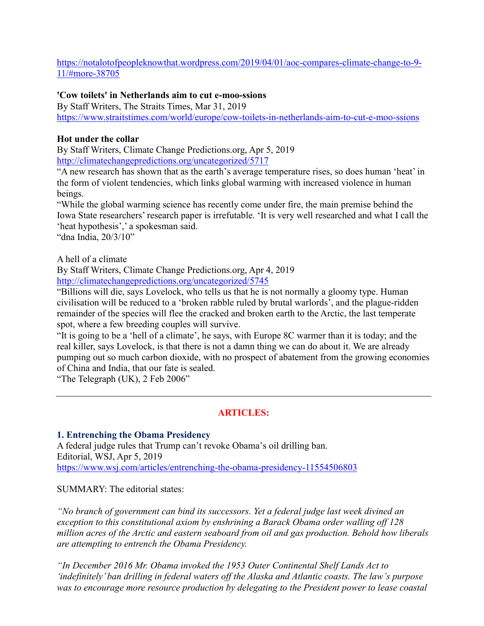[https://notalotofpeopleknowthat.wordpress.com/2019/04/01/aoc-compares-climate-change-to-9-](https://notalotofpeopleknowthat.wordpress.com/2019/04/01/aoc-compares-climate-change-to-9-11/#more-38705) [11/#more-38705](https://notalotofpeopleknowthat.wordpress.com/2019/04/01/aoc-compares-climate-change-to-9-11/#more-38705)

#### **'Cow toilets' in Netherlands aim to cut e-moo-ssions**

By Staff Writers, The Straits Times, Mar 31, 2019 <https://www.straitstimes.com/world/europe/cow-toilets-in-netherlands-aim-to-cut-e-moo-ssions>

#### **Hot under the collar**

By Staff Writers, Climate Change Predictions.org, Apr 5, 2019 <http://climatechangepredictions.org/uncategorized/5717>

"A new research has shown that as the earth's average temperature rises, so does human 'heat' in the form of violent tendencies, which links global warming with increased violence in human beings.

"While the global warming science has recently come under fire, the main premise behind the Iowa State researchers' research paper is irrefutable. 'It is very well researched and what I call the 'heat hypothesis',' a spokesman said.

"dna India, 20/3/10"

A hell of a climate

By Staff Writers, Climate Change Predictions.org, Apr 4, 2019 <http://climatechangepredictions.org/uncategorized/5745>

"Billions will die, says Lovelock, who tells us that he is not normally a gloomy type. Human civilisation will be reduced to a 'broken rabble ruled by brutal warlords', and the plague-ridden remainder of the species will flee the cracked and broken earth to the Arctic, the last temperate spot, where a few breeding couples will survive.

"It is going to be a 'hell of a climate', he says, with Europe 8C warmer than it is today; and the real killer, says Lovelock, is that there is not a damn thing we can do about it. We are already pumping out so much carbon dioxide, with no prospect of abatement from the growing economies of China and India, that our fate is sealed.

"The Telegraph (UK), 2 Feb 2006"

# **ARTICLES:**

#### **1. Entrenching the Obama Presidency**

A federal judge rules that Trump can't revoke Obama's oil drilling ban. Editorial, WSJ, Apr 5, 2019 <https://www.wsj.com/articles/entrenching-the-obama-presidency-11554506803>

SUMMARY: The editorial states:

*"No branch of government can bind its successors. Yet a federal judge last week divined an exception to this constitutional axiom by enshrining a Barack Obama order walling off 128 million acres of the Arctic and eastern seaboard from oil and gas production. Behold how liberals are attempting to entrench the Obama Presidency.*

*"In December 2016 Mr. Obama invoked the 1953 Outer Continental Shelf Lands Act to 'indefinitely' ban drilling in federal waters off the Alaska and Atlantic coasts. The law's purpose was to encourage more resource production by delegating to the President power to lease coastal*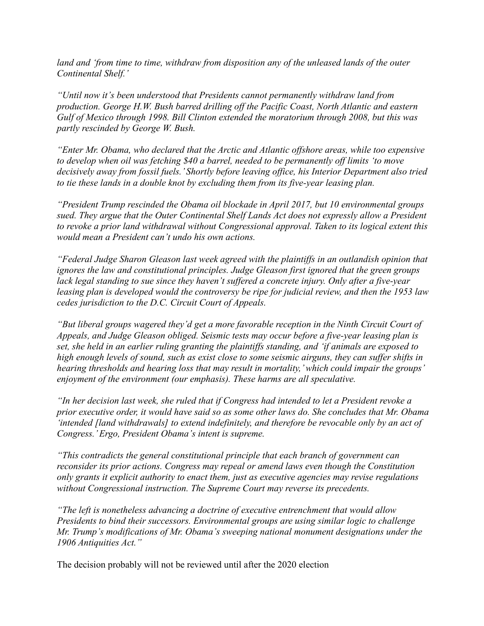*land and 'from time to time, withdraw from disposition any of the unleased lands of the outer Continental Shelf.'*

*"Until now it's been understood that Presidents cannot permanently withdraw land from production. George H.W. Bush barred drilling off the Pacific Coast, North Atlantic and eastern Gulf of Mexico through 1998. Bill Clinton extended the moratorium through 2008, but this was partly rescinded by George W. Bush.*

*"Enter Mr. Obama, who declared that the Arctic and Atlantic offshore areas, while too expensive to develop when oil was fetching \$40 a barrel, needed to be permanently off limits 'to move decisively away from fossil fuels.' Shortly before leaving office, his Interior Department also tried to tie these lands in a double knot by excluding them from its five-year leasing plan.*

*"President Trump rescinded the Obama oil blockade in April 2017, but 10 environmental groups sued. They argue that the Outer Continental Shelf Lands Act does not expressly allow a President to revoke a prior land withdrawal without Congressional approval. Taken to its logical extent this would mean a President can't undo his own actions.*

*"Federal Judge Sharon Gleason last week agreed with the plaintiffs in an outlandish opinion that ignores the law and constitutional principles. Judge Gleason first ignored that the green groups lack legal standing to sue since they haven't suffered a concrete injury. Only after a five-year leasing plan is developed would the controversy be ripe for judicial review, and then the 1953 law cedes jurisdiction to the D.C. Circuit Court of Appeals.*

*"But liberal groups wagered they'd get a more favorable reception in the Ninth Circuit Court of Appeals, and Judge Gleason obliged. Seismic tests may occur before a five-year leasing plan is set, she held in an earlier ruling granting the plaintiffs standing, and 'if animals are exposed to high enough levels of sound, such as exist close to some seismic airguns, they can suffer shifts in hearing thresholds and hearing loss that may result in mortality,'which could impair the groups' enjoyment of the environment (our emphasis). These harms are all speculative.*

*"In her decision last week, she ruled that if Congress had intended to let a President revoke a prior executive order, it would have said so as some other laws do. She concludes that Mr. Obama 'intended [land withdrawals] to extend indefinitely, and therefore be revocable only by an act of Congress.'Ergo, President Obama's intent is supreme.*

*"This contradicts the general constitutional principle that each branch of government can reconsider its prior actions. Congress may repeal or amend laws even though the Constitution only grants it explicit authority to enact them, just as executive agencies may revise regulations without Congressional instruction. The Supreme Court may reverse its precedents.*

*"The left is nonetheless advancing a doctrine of executive entrenchment that would allow Presidents to bind their successors. Environmental groups are using similar logic to challenge Mr. Trump's modifications of Mr. Obama's sweeping national monument designations under the 1906 Antiquities Act."*

The decision probably will not be reviewed until after the 2020 election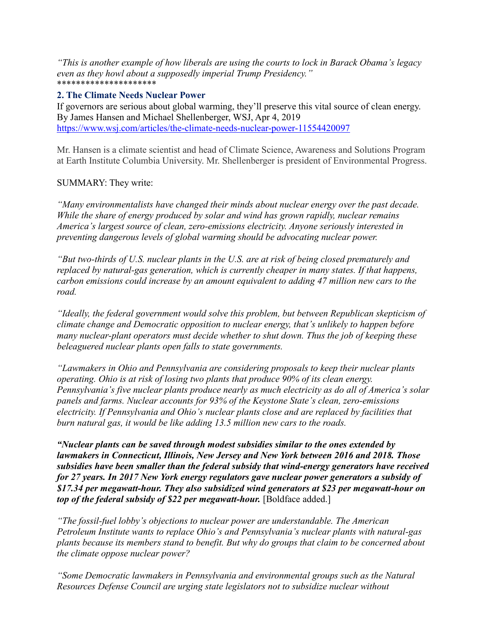*"This is another example of how liberals are using the courts to lock in Barack Obama's legacy even as they howl about a supposedly imperial Trump Presidency."* \*\*\*\*\*\*\*\*\*\*\*\*\*\*\*\*\*\*\*\*\*

#### **2. The Climate Needs Nuclear Power**

If governors are serious about global warming, they'll preserve this vital source of clean energy. By James Hansen and Michael Shellenberger, WSJ, Apr 4, 2019 <https://www.wsj.com/articles/the-climate-needs-nuclear-power-11554420097>

Mr. Hansen is a climate scientist and head of Climate Science, Awareness and Solutions Program at Earth Institute Columbia University. Mr. Shellenberger is president of Environmental Progress.

#### SUMMARY: They write:

*"Many environmentalists have changed their minds about nuclear energy over the past decade. While the share of energy produced by solar and wind has grown rapidly, nuclear remains America's largest source of clean, zero-emissions electricity. Anyone seriously interested in preventing dangerous levels of global warming should be advocating nuclear power.*

*"But two-thirds of U.S. nuclear plants in the U.S. are at risk of being closed prematurely and replaced by natural-gas generation, which is currently cheaper in many states. If that happens, carbon emissions could increase by an amount equivalent to adding 47 million new cars to the road.*

*"Ideally, the federal government would solve this problem, but between Republican skepticism of climate change and Democratic opposition to nuclear energy, that's unlikely to happen before many nuclear-plant operators must decide whether to shut down. Thus the job of keeping these beleaguered nuclear plants open falls to state governments.*

*"Lawmakers in Ohio and Pennsylvania are considering proposals to keep their nuclear plants operating. Ohio is at risk of losing two plants that produce 90% of its clean energy. Pennsylvania's five nuclear plants produce nearly as much electricity as do all of America's solar panels and farms. Nuclear accounts for 93% of the Keystone State's clean, zero-emissions electricity. If Pennsylvania and Ohio's nuclear plants close and are replaced by facilities that burn natural gas, it would be like adding 13.5 million new cars to the roads.*

*"Nuclear plants can be saved through modest subsidies similar to the ones extended by lawmakers in Connecticut, Illinois, New Jersey and New York between 2016 and 2018. Those subsidies have been smaller than the federal subsidy that wind-energy generators have received for 27 years. In 2017 New York energy regulators gave nuclear power generators a subsidy of \$17.34 per megawatt-hour. They also subsidized wind generators at \$23 per megawatt-hour on top of the federal subsidy of \$22 per megawatt-hour.* [Boldface added.]

*"The fossil-fuel lobby's objections to nuclear power are understandable. The American Petroleum Institute wants to replace Ohio's and Pennsylvania's nuclear plants with natural-gas plants because its members stand to benefit. But why do groups that claim to be concerned about the climate oppose nuclear power?*

*"Some Democratic lawmakers in Pennsylvania and environmental groups such as the Natural Resources Defense Council are urging state legislators not to subsidize nuclear without*